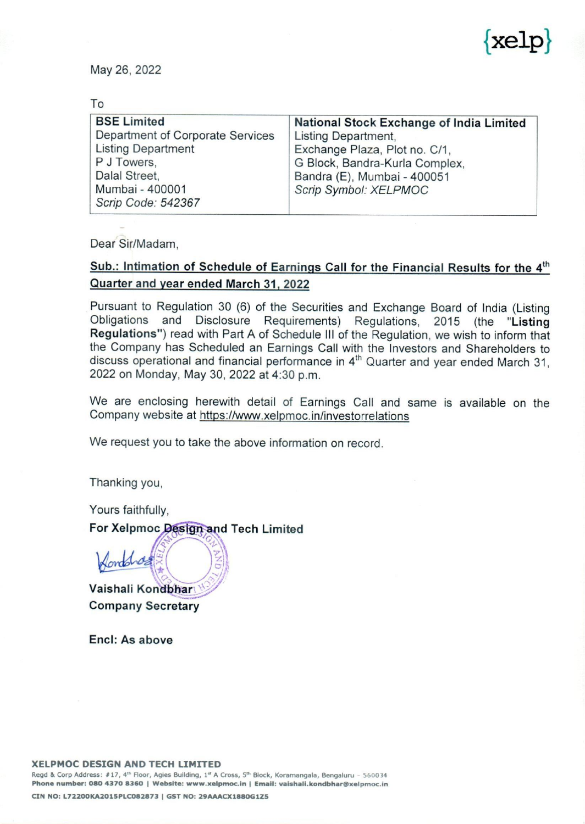

| ä.                                                                                                                                                           | kelp                                                                                                                                                                                       |
|--------------------------------------------------------------------------------------------------------------------------------------------------------------|--------------------------------------------------------------------------------------------------------------------------------------------------------------------------------------------|
| May 26, 2022<br>To                                                                                                                                           |                                                                                                                                                                                            |
| <b>BSE Limited</b><br>Department of Corporate Services<br><b>Listing Department</b><br>P J Towers,<br>Dalal Street,<br>Mumbai - 400001<br>Scrip Code: 542367 | National Stock Exchange of India Limited<br>Listing Department,<br>Exchange Plaza, Plot no. C/1,<br>G Block, Bandra-Kurla Complex,<br>Bandra (E), Mumbai - 400051<br>Scrip Symbol: XELPMOC |

Dear Sir/Madam,

## Sub.: Intimation of Schedule of Earnings Call for the Financial Results for the 4<sup>th</sup> Quarter and year ended March 31, 2022

Pursuant to Regulation 30 (6) of the Securities and Exchange Board of India (Listing Obligations and Disclosure Requirements) Regulations, 2015 (the "Listing **Regulations**") read with Part A of Schedule III of the Regulation, we wish to inform that the Company has Scheduled an Earnings Call with the Investors and Shareholders to discuss operational and financial performance in

We are enclosing herewith detail of Earnings Call and same is available on the Company website at https://www.xelpmoc.in/investorrelations

We request you to take the above information on record.

Thanking you,

Yours faithfully,

ombras

For Xelpmoc Design and Tech Limited

Vaishali Kondbhar Company Secretary

Encl: As above